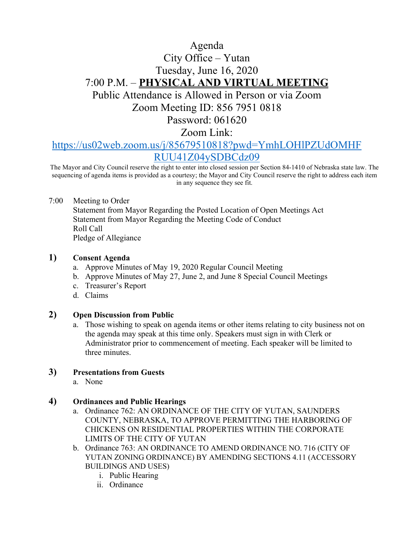# Agenda City Office – Yutan Tuesday, June 16, 2020 7:00 P.M. – **PHYSICAL AND VIRTUAL MEETING** Public Attendance is Allowed in Person or via Zoom

Zoom Meeting ID: 856 7951 0818

Password: 061620

Zoom Link:

# [https://us02web.zoom.us/j/85679510818?pwd=YmhLOHlPZUdOMHF](https://us02web.zoom.us/j/85679510818?pwd=YmhLOHlPZUdOMHFRUU41Z04ySDBCdz09) [RUU41Z04ySDBCdz09](https://us02web.zoom.us/j/85679510818?pwd=YmhLOHlPZUdOMHFRUU41Z04ySDBCdz09)

The Mayor and City Council reserve the right to enter into closed session per Section 84-1410 of Nebraska state law. The sequencing of agenda items is provided as a courtesy; the Mayor and City Council reserve the right to address each item in any sequence they see fit.

7:00 Meeting to Order

Statement from Mayor Regarding the Posted Location of Open Meetings Act Statement from Mayor Regarding the Meeting Code of Conduct Roll Call Pledge of Allegiance

#### **1) Consent Agenda**

- a. Approve Minutes of May 19, 2020 Regular Council Meeting
- b. Approve Minutes of May 27, June 2, and June 8 Special Council Meetings
- c. Treasurer's Report
- d. Claims

#### **2) Open Discussion from Public**

a. Those wishing to speak on agenda items or other items relating to city business not on the agenda may speak at this time only. Speakers must sign in with Clerk or Administrator prior to commencement of meeting. Each speaker will be limited to three minutes.

## **3) Presentations from Guests**

a. None

#### **4) Ordinances and Public Hearings**

- a. Ordinance 762: AN ORDINANCE OF THE CITY OF YUTAN, SAUNDERS COUNTY, NEBRASKA, TO APPROVE PERMITTING THE HARBORING OF CHICKENS ON RESIDENTIAL PROPERTIES WITHIN THE CORPORATE LIMITS OF THE CITY OF YUTAN
- b. Ordinance 763: AN ORDINANCE TO AMEND ORDINANCE NO. 716 (CITY OF YUTAN ZONING ORDINANCE) BY AMENDING SECTIONS 4.11 (ACCESSORY BUILDINGS AND USES)
	- i. Public Hearing
	- ii. Ordinance